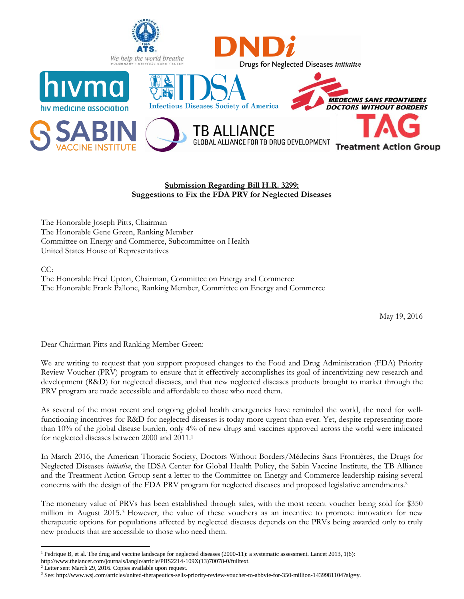

## **Submission Regarding Bill H.R. 3299: Suggestions to Fix the FDA PRV for Neglected Diseases**

The Honorable Joseph Pitts, Chairman The Honorable Gene Green, Ranking Member Committee on Energy and Commerce, Subcommittee on Health United States House of Representatives

CC:

 $\overline{a}$ 

The Honorable Fred Upton, Chairman, Committee on Energy and Commerce The Honorable Frank Pallone, Ranking Member, Committee on Energy and Commerce

May 19, 2016

Dear Chairman Pitts and Ranking Member Green:

We are writing to request that you support proposed changes to the Food and Drug Administration (FDA) Priority Review Voucher (PRV) program to ensure that it effectively accomplishes its goal of incentivizing new research and development (R&D) for neglected diseases, and that new neglected diseases products brought to market through the PRV program are made accessible and affordable to those who need them.

As several of the most recent and ongoing global health emergencies have reminded the world, the need for wellfunctioning incentives for R&D for neglected diseases is today more urgent than ever. Yet, despite representing more than 10% of the global disease burden, only 4% of new drugs and vaccines approved across the world were indicated for neglected diseases between 2000 and 2011.<sup>1</sup>

In March 2016, the American Thoracic Society, Doctors Without Borders/Médecins Sans Frontières, the Drugs for Neglected Diseases *initiative*, the IDSA Center for Global Health Policy, the Sabin Vaccine Institute, the TB Alliance and the Treatment Action Group sent a letter to the Committee on Energy and Commerce leadership raising several concerns with the design of the FDA PRV program for neglected diseases and proposed legislative amendments.<sup>2</sup>

The monetary value of PRVs has been established through sales, with the most recent voucher being sold for \$350 million in August 2015.<sup>3</sup> However, the value of these vouchers as an incentive to promote innovation for new therapeutic options for populations affected by neglected diseases depends on the PRVs being awarded only to truly new products that are accessible to those who need them.

<sup>1</sup> Pedrique B, et al. The drug and vaccine landscape for neglected diseases (2000-11): a systematic assessment. Lancet 2013, 1(6): http://www.thelancet.com/journals/langlo/article/PIIS2214-109X(13)70078-0/fulltext.

<sup>2</sup> Letter sent March 29, 2016. Copies available upon request.

<sup>3</sup> See: http://www.wsj.com/articles/united-therapeutics-sells-priority-review-voucher-to-abbvie-for-350-million-1439981104?alg=y.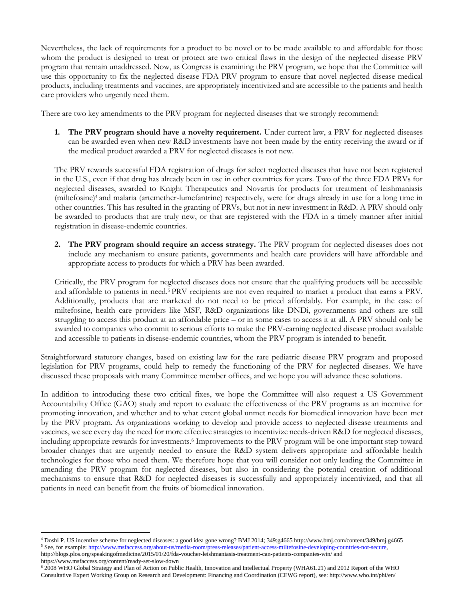Nevertheless, the lack of requirements for a product to be novel or to be made available to and affordable for those whom the product is designed to treat or protect are two critical flaws in the design of the neglected disease PRV program that remain unaddressed. Now, as Congress is examining the PRV program, we hope that the Committee will use this opportunity to fix the neglected disease FDA PRV program to ensure that novel neglected disease medical products, including treatments and vaccines, are appropriately incentivized and are accessible to the patients and health care providers who urgently need them.

There are two key amendments to the PRV program for neglected diseases that we strongly recommend:

**1. The PRV program should have a novelty requirement.** Under current law, a PRV for neglected diseases can be awarded even when new R&D investments have not been made by the entity receiving the award or if the medical product awarded a PRV for neglected diseases is not new.

The PRV rewards successful FDA registration of drugs for select neglected diseases that have not been registered in the U.S., even if that drug has already been in use in other countries for years. Two of the three FDA PRVs for neglected diseases, awarded to Knight Therapeutics and Novartis for products for treatment of leishmaniasis (miltefosine)<sup>4</sup> and malaria (artemether-lumefantrine) respectively, were for drugs already in use for a long time in other countries. This has resulted in the granting of PRVs, but not in new investment in R&D. A PRV should only be awarded to products that are truly new, or that are registered with the FDA in a timely manner after initial registration in disease-endemic countries.

**2. The PRV program should require an access strategy.** The PRV program for neglected diseases does not include any mechanism to ensure patients, governments and health care providers will have affordable and appropriate access to products for which a PRV has been awarded.

Critically, the PRV program for neglected diseases does not ensure that the qualifying products will be accessible and affordable to patients in need.<sup>5</sup> PRV recipients are not even required to market a product that earns a PRV. Additionally, products that are marketed do not need to be priced affordably. For example, in the case of miltefosine, health care providers like MSF, R&D organizations like DNDi, governments and others are still struggling to access this product at an affordable price – or in some cases to access it at all. A PRV should only be awarded to companies who commit to serious efforts to make the PRV-earning neglected disease product available and accessible to patients in disease-endemic countries, whom the PRV program is intended to benefit.

Straightforward statutory changes, based on existing law for the rare pediatric disease PRV program and proposed legislation for PRV programs, could help to remedy the functioning of the PRV for neglected diseases. We have discussed these proposals with many Committee member offices, and we hope you will advance these solutions.

In addition to introducing these two critical fixes, we hope the Committee will also request a US Government Accountability Office (GAO) study and report to evaluate the effectiveness of the PRV programs as an incentive for promoting innovation, and whether and to what extent global unmet needs for biomedical innovation have been met by the PRV program. As organizations working to develop and provide access to neglected disease treatments and vaccines, we see every day the need for more effective strategies to incentivize needs-driven R&D for neglected diseases, including appropriate rewards for investments.<sup>6</sup> Improvements to the PRV program will be one important step toward broader changes that are urgently needed to ensure the R&D system delivers appropriate and affordable health technologies for those who need them. We therefore hope that you will consider not only leading the Committee in amending the PRV program for neglected diseases, but also in considering the potential creation of additional mechanisms to ensure that R&D for neglected diseases is successfully and appropriately incentivized, and that all patients in need can benefit from the fruits of biomedical innovation.

 $\overline{a}$ 

<sup>4</sup> Doshi P. US incentive scheme for neglected diseases: a good idea gone wrong? BMJ 2014; 349:g4665 http://www.bmj.com/content/349/bmj.g4665 <sup>5</sup> See, for example[: http://www.msfaccess.org/about-us/media-room/press-releases/patient-access-miltefosine-developing-countries-not-secure,](http://www.msfaccess.org/about-us/media-room/press-releases/patient-access-miltefosine-developing-countries-not-secure) http://blogs.plos.org/speakingofmedicine/2015/01/20/fda-voucher-leishmaniasis-treatment-can-patients-companies-win/ and

https://www.msfaccess.org/content/ready-set-slow-down

<sup>6</sup> 2008 WHO Global Strategy and Plan of Action on Public Health, Innovation and Intellectual Property (WHA61.21) and 2012 Report of the WHO Consultative Expert Working Group on Research and Development: Financing and Coordination (CEWG report), see: http://www.who.int/phi/en/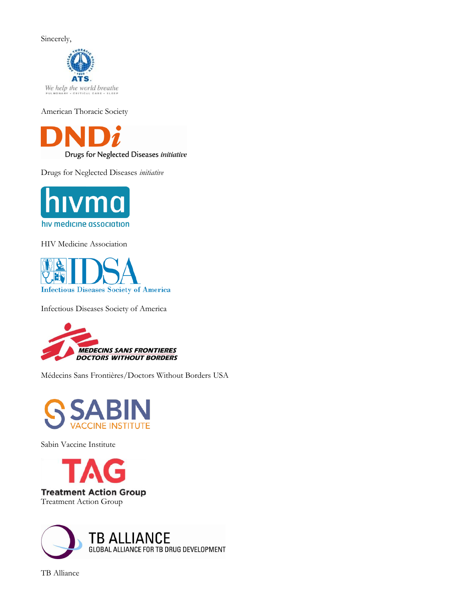Sincerely,



American Thoracic Society

Drugs for Neglected Diseases initiative

Drugs for Neglected Diseases *initiative*



HIV Medicine Association



Infectious Diseases Society of America



Médecins Sans Frontières/Doctors Without Borders USA



Sabin Vaccine Institute